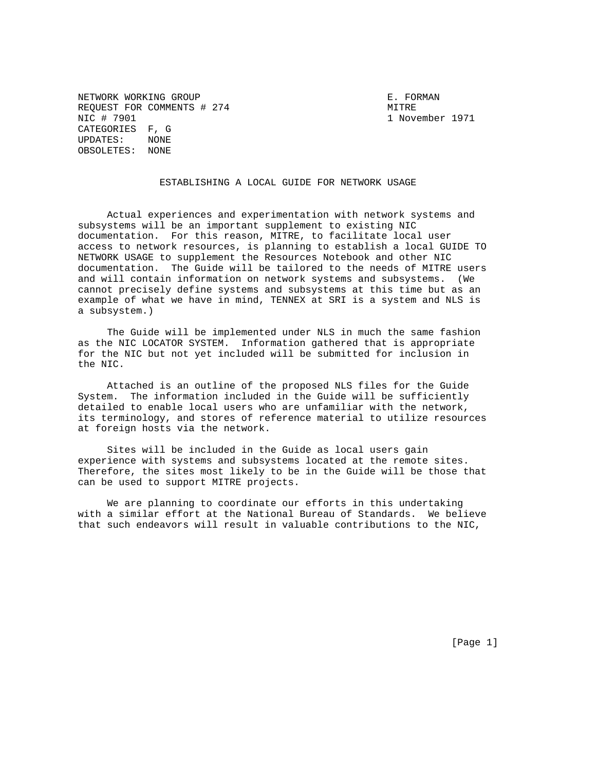NETWORK WORKING GROUP **E. FORMAN** REQUEST FOR COMMENTS # 274 MITRE NIC # 7901 1 November 1971 CATEGORIES F, G<br>UPDATES: NONE  $UPDATES:$ OBSOLETES: NONE

ESTABLISHING A LOCAL GUIDE FOR NETWORK USAGE

 Actual experiences and experimentation with network systems and subsystems will be an important supplement to existing NIC documentation. For this reason, MITRE, to facilitate local user access to network resources, is planning to establish a local GUIDE TO NETWORK USAGE to supplement the Resources Notebook and other NIC documentation. The Guide will be tailored to the needs of MITRE users and will contain information on network systems and subsystems. (We cannot precisely define systems and subsystems at this time but as an example of what we have in mind, TENNEX at SRI is a system and NLS is a subsystem.)

 The Guide will be implemented under NLS in much the same fashion as the NIC LOCATOR SYSTEM. Information gathered that is appropriate for the NIC but not yet included will be submitted for inclusion in the NIC.

 Attached is an outline of the proposed NLS files for the Guide System. The information included in the Guide will be sufficiently detailed to enable local users who are unfamiliar with the network, its terminology, and stores of reference material to utilize resources at foreign hosts via the network.

 Sites will be included in the Guide as local users gain experience with systems and subsystems located at the remote sites. Therefore, the sites most likely to be in the Guide will be those that can be used to support MITRE projects.

 We are planning to coordinate our efforts in this undertaking with a similar effort at the National Bureau of Standards. We believe that such endeavors will result in valuable contributions to the NIC,

[Page 1]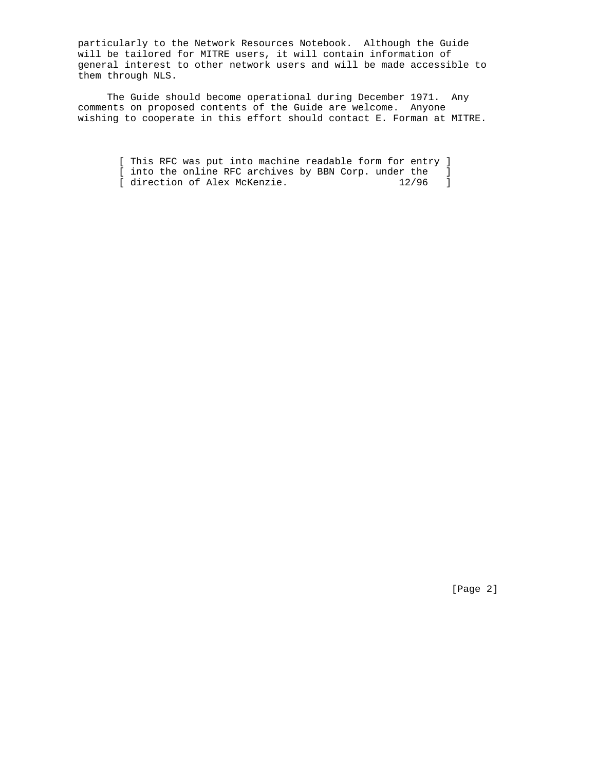particularly to the Network Resources Notebook. Although the Guide will be tailored for MITRE users, it will contain information of general interest to other network users and will be made accessible to them through NLS.

 The Guide should become operational during December 1971. Any comments on proposed contents of the Guide are welcome. Anyone wishing to cooperate in this effort should contact E. Forman at MITRE.

> [ This RFC was put into machine readable form for entry ] [ into the online RFC archives by BBN Corp. under the ]<br>[ direction of Alex McKenzie. 12/96 ] [ direction of Alex McKenzie.

> > [Page 2]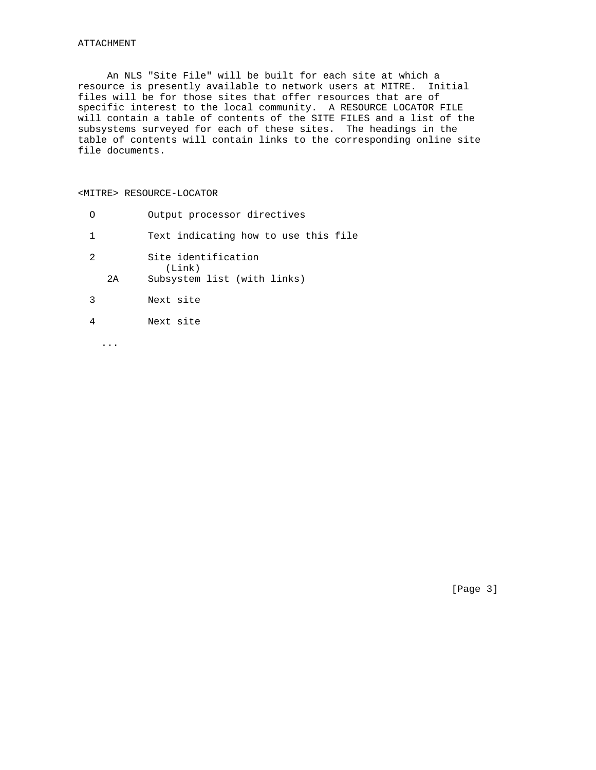An NLS "Site File" will be built for each site at which a resource is presently available to network users at MITRE. Initial files will be for those sites that offer resources that are of specific interest to the local community. A RESOURCE LOCATOR FILE will contain a table of contents of the SITE FILES and a list of the subsystems surveyed for each of these sites. The headings in the table of contents will contain links to the corresponding online site file documents.

## <MITRE> RESOURCE-LOCATOR

|                |    | Output processor directives                                  |
|----------------|----|--------------------------------------------------------------|
| 1              |    | Text indicating how to use this file                         |
| $\mathfrak{D}$ | 2A | Site identification<br>(Link)<br>Subsystem list (with links) |
| ζ              |    | Next site                                                    |
|                |    | Next site                                                    |

...

[Page 3]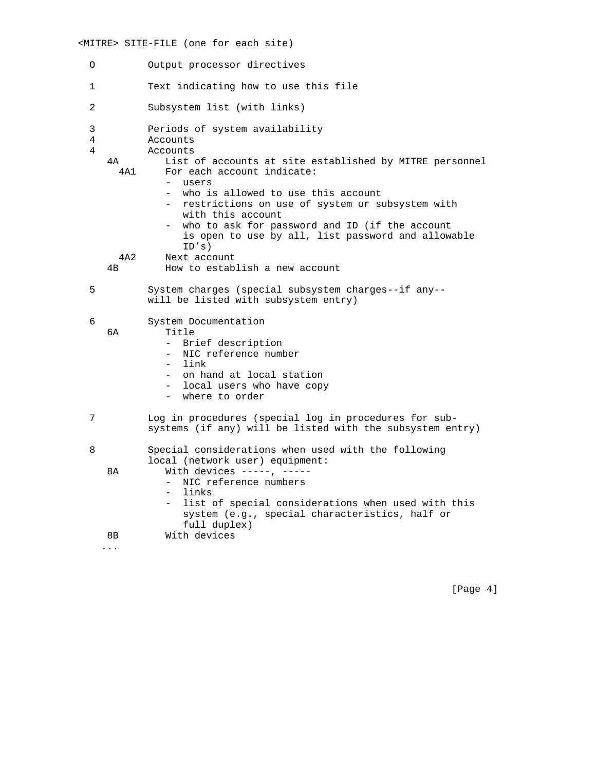## <MITRE> SITE-FILE (one for each site)

- O Output processor directives
- 1 Text indicating how to use this file
- 2 Subsystem list (with links)
- 3 Periods of system availability
- 4 Accounts
- 4 Accounts
	- 4A List of accounts at site established by MITRE personnel 4A1 For each account indicate:
		- users
		- who is allowed to use this account
		- restrictions on use of system or subsystem with with this account
		- who to ask for password and ID (if the account is open to use by all, list password and allowable ID's)
	- 4A2 Next account
	- 4B How to establish a new account
- 5 System charges (special subsystem charges--if any- will be listed with subsystem entry)
- 6 System Documentation
- 6A Title
	- Brief description
	- NIC reference number
	- link
	- on hand at local station
	- local users who have copy
	- where to order
- 7 Log in procedures (special log in procedures for sub systems (if any) will be listed with the subsystem entry)
- 8 Special considerations when used with the following local (network user) equipment: 8A With devices -----, -----
	- NIC reference numbers
	- links
	- list of special considerations when used with this system (e.g., special characteristics, half or full duplex) 8B With devices
	- ...

[Page 4]